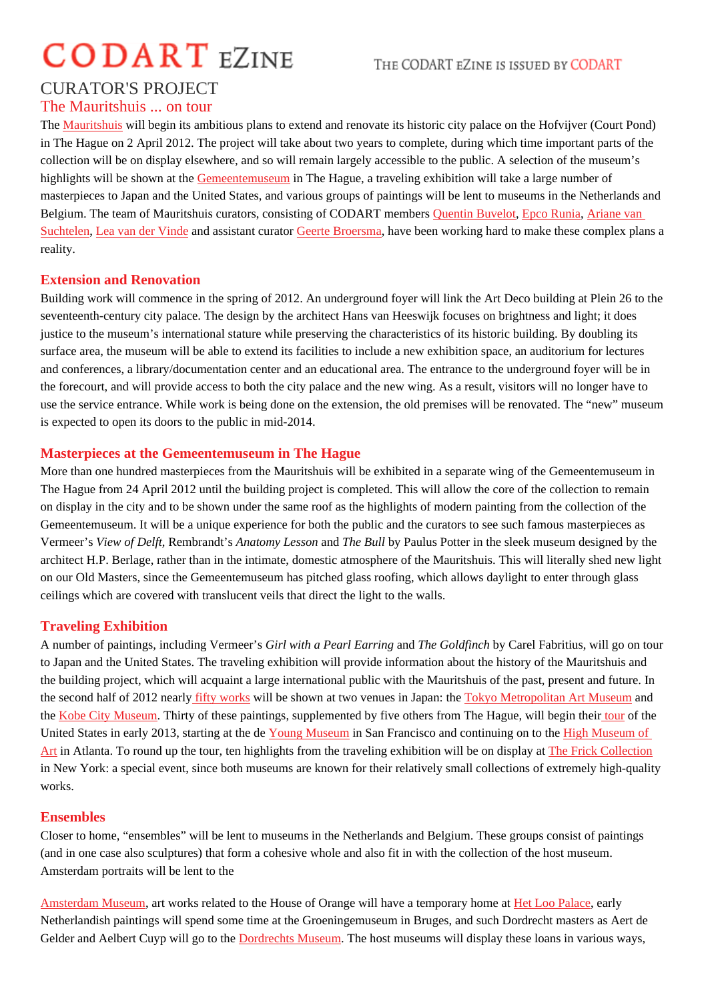# CURATOR'S PROJECT

## The Mauritshuis ... on tour

The Mauritshuis will begin its ambitious plans to extend and renovate its historic city palace on the Hofvijver (Court Pond) in The Hague on 2 April 2012. The project will take about two years to complete, during which time important parts of the collection will be on display elsewhere, and so will remain largely accessible to the public. A selection of the museum's hig[hlights will b](http://www.mauritshuis.nl)e shown at the *emeentemuseum* The Hague, a traveling exhibition will take a large number of masterpieces to Japan and the United States, and various groups of paintings will be lent to museums in the Netherlands and Belgium. The team of Mauritshuis curators, consisting of CODART ment buvelot Buvelot Epco Runia Ariane van SuchtelenLea van der Vindend assistant curator Geerte Broersma have been working hard to make these complex plans a reality.

### [Extensio](http://www.codart.nl/108/persons/details/?person_id=197)[n and Renovati](http://www.codart.nl/108/curators/details/?person_id=1532)on

Building work will commence in the spring of 2[012. An undergr](http://www.codart.nl/108/curators/details/?person_id=2574)ound foyer will link the Art Deco building at Pleinh 26 to seventeenth-century city palace. The design by the architect Hans van Heeswijk focuses on brightness and light; it does justice to the museum's international stature while preserving the characteristics of its historic building. By doubling its surface area, the museum will be able to extend its facilities to include a new exhibition space, an auditorium for lectures and conferences, a library/documentation center and an educational area. The entrance to the underground foyer will be in the forecourt, and will provide access to both the city palace and the new wing. As a result, visitors will no longer have to use the service entrance. While work is being done on the extension, the old premises will be renovated. The "new" museum is expected to open its doors to the public in mid-2014.

### Masterpieces at the Gemeentemuseum in The Hague

More than one hundred masterpieces from the Mauritshuis will be exhibited in a separate wing of the Gemeentemuseum in The Hague from 24 April 2012 until the building project is completed. This will allow the core of the collection to remain on display in the city and to be shown under the same roof as the highlights of modern painting from the collection of the Gemeentemuseum. It will be a unique experience for both the public and the curators to see such famous masterpieces as Vermeer's View of Delft Rembrandt's Anatomy Lesson ad The Bull by Paulus Potter in the sleek museum designed by the architect H.P. Berlage, rather than in the intimate, domestic atmosphere of the Mauritshuis. This will literally shed new light on our Old Masters, since the Gemeentemuseum has pitched glass roofing, which allows daylight to enter through glass ceilings which are covered with translucent veils that direct the light to the walls.

## Traveling Exhibition

A number of paintings, including Vermee Girl with a Pearl Earring and The Goldfinch by Carel Fabritius, will go on tour to Japan and the United States. The traveling exhibition will provide information about the history of the Mauritshuis and the building project, which will acquaint a large international public with the Mauritshuis of the past, present and future. In the second half of 2012 nearlity works will be shown at two venues in Japan: The you Metropolitan Art Museum and the Kobe City Museum Thirty of these paintings, supplemented by five others from The Hague, will begitotheif the United States in early 2013, starting at the deng Museumn San Francisco and continuing on to the Museum of Art in Atlanta. To round up [the tour, te](http://www.codart.nl/exhibitions/details/2700/)n highlights from the traveling exhibition will be on display at rick Collection in [New York: a specia](http://www.city.kobe.lg.jp/culture/culture/institution/museum/)l event, since both museums are known for their relatively small collections of e[xtrem](http://www.codart.nl/exhibitions/details/2696/)ely high-quality works.

#### **[En](http://www.high.org/)sembles**

Closer to home, "ensembles" will be lent to museums in the Netherlands and Belgium. These groups consist of paintings (and in one case also sculptures) that form a cohesive whole and also fit in with the collection of the host museum. Amsterdam portraits will be lent to the

Amsterdam Museum art works related to the House of Orange will have a temporary home at abo Palace early Netherlandish paintings will spend some time at the Groeningemuseum in Bruges, and such Dordrecht masters as Aert de Gelder and Aelbert Cuyp will go to the Dordrechts Museum. The host museums will display these loans in various ways,